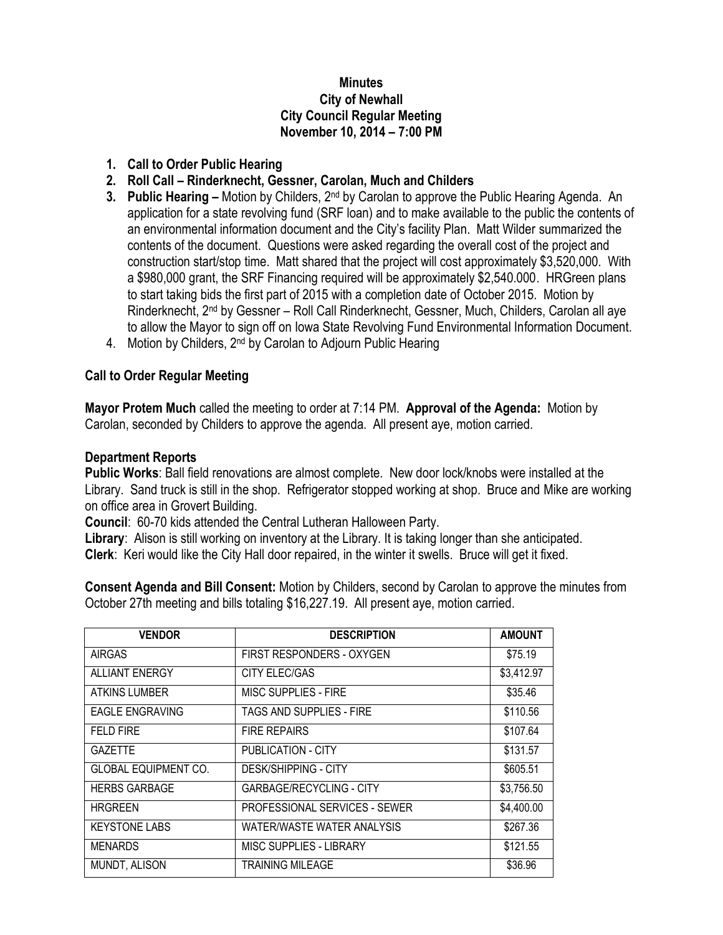#### **Minutes City of Newhall City Council Regular Meeting November 10, 2014 – 7:00 PM**

### **1. Call to Order Public Hearing**

# **2. Roll Call – Rinderknecht, Gessner, Carolan, Much and Childers**

- **3. Public Hearing –** Motion by Childers, 2nd by Carolan to approve the Public Hearing Agenda. An application for a state revolving fund (SRF loan) and to make available to the public the contents of an environmental information document and the City's facility Plan. Matt Wilder summarized the contents of the document. Questions were asked regarding the overall cost of the project and construction start/stop time. Matt shared that the project will cost approximately \$3,520,000. With a \$980,000 grant, the SRF Financing required will be approximately \$2,540.000. HRGreen plans to start taking bids the first part of 2015 with a completion date of October 2015. Motion by Rinderknecht, 2<sup>nd</sup> by Gessner - Roll Call Rinderknecht, Gessner, Much, Childers, Carolan all aye to allow the Mayor to sign off on Iowa State Revolving Fund Environmental Information Document.
- 4. Motion by Childers, 2<sup>nd</sup> by Carolan to Adjourn Public Hearing

## **Call to Order Regular Meeting**

**Mayor Protem Much** called the meeting to order at 7:14 PM. **Approval of the Agenda:** Motion by Carolan, seconded by Childers to approve the agenda. All present aye, motion carried.

### **Department Reports**

**Public Works**: Ball field renovations are almost complete. New door lock/knobs were installed at the Library. Sand truck is still in the shop. Refrigerator stopped working at shop. Bruce and Mike are working on office area in Grovert Building.

**Council**: 60-70 kids attended the Central Lutheran Halloween Party.

**Library**: Alison is still working on inventory at the Library. It is taking longer than she anticipated. **Clerk**: Keri would like the City Hall door repaired, in the winter it swells. Bruce will get it fixed.

**Consent Agenda and Bill Consent:** Motion by Childers, second by Carolan to approve the minutes from October 27th meeting and bills totaling \$16,227.19. All present aye, motion carried.

| <b>VENDOR</b>               | <b>DESCRIPTION</b>                   | <b>AMOUNT</b> |
|-----------------------------|--------------------------------------|---------------|
| <b>AIRGAS</b>               | FIRST RESPONDERS - OXYGEN            | \$75.19       |
| <b>ALLIANT ENERGY</b>       | CITY ELEC/GAS                        | \$3,412.97    |
| <b>ATKINS LUMBER</b>        | MISC SUPPLIES - FIRE                 | \$35.46       |
| <b>EAGLE ENGRAVING</b>      | TAGS AND SUPPLIES - FIRE             | \$110.56      |
| <b>FELD FIRE</b>            | <b>FIRE REPAIRS</b>                  | \$107.64      |
| <b>GAZETTE</b>              | PUBLICATION - CITY                   | \$131.57      |
| <b>GLOBAL EQUIPMENT CO.</b> | DESK/SHIPPING - CITY                 | \$605.51      |
| <b>HERBS GARBAGE</b>        | <b>GARBAGE/RECYCLING - CITY</b>      | \$3,756.50    |
| <b>HRGREEN</b>              | <b>PROFESSIONAL SERVICES - SEWER</b> | \$4,400.00    |
| <b>KEYSTONE LABS</b>        | WATER/WASTE WATER ANALYSIS           | \$267.36      |
| <b>MENARDS</b>              | MISC SUPPLIES - LIBRARY              | \$121.55      |
| MUNDT, ALISON               | <b>TRAINING MILEAGE</b>              | \$36.96       |